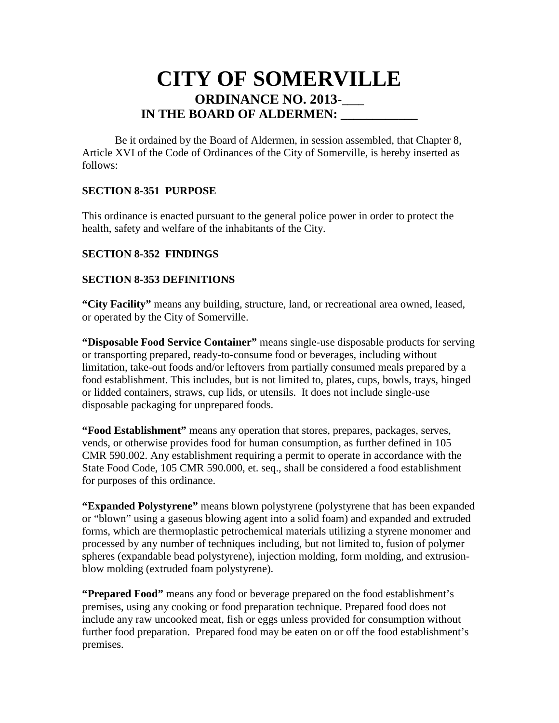# **CITY OF SOMERVILLE ORDINANCE NO. 2013-IN THE BOARD OF ALDERMEN:**

Be it ordained by the Board of Aldermen, in session assembled, that Chapter 8, Article XVI of the Code of Ordinances of the City of Somerville, is hereby inserted as follows:

## **SECTION 8-351 PURPOSE**

This ordinance is enacted pursuant to the general police power in order to protect the health, safety and welfare of the inhabitants of the City.

#### **SECTION 8-352 FINDINGS**

#### **SECTION 8-353 DEFINITIONS**

**"City Facility"** means any building, structure, land, or recreational area owned, leased, or operated by the City of Somerville.

**"Disposable Food Service Container"** means single-use disposable products for serving or transporting prepared, ready-to-consume food or beverages, including without limitation, take-out foods and/or leftovers from partially consumed meals prepared by a food establishment. This includes, but is not limited to, plates, cups, bowls, trays, hinged or lidded containers, straws, cup lids, or utensils. It does not include single-use disposable packaging for unprepared foods.

**"Food Establishment"** means any operation that stores, prepares, packages, serves, vends, or otherwise provides food for human consumption, as further defined in 105 CMR 590.002. Any establishment requiring a permit to operate in accordance with the State Food Code, 105 CMR 590.000, et. seq., shall be considered a food establishment for purposes of this ordinance.

**"Expanded Polystyrene"** means blown polystyrene (polystyrene that has been expanded or "blown" using a gaseous blowing agent into a solid foam) and expanded and extruded forms, which are thermoplastic petrochemical materials utilizing a styrene monomer and processed by any number of techniques including, but not limited to, fusion of polymer spheres (expandable bead polystyrene), injection molding, form molding, and extrusionblow molding (extruded foam polystyrene).

**"Prepared Food"** means any food or beverage prepared on the food establishment's premises, using any cooking or food preparation technique. Prepared food does not include any raw uncooked meat, fish or eggs unless provided for consumption without further food preparation. Prepared food may be eaten on or off the food establishment's premises.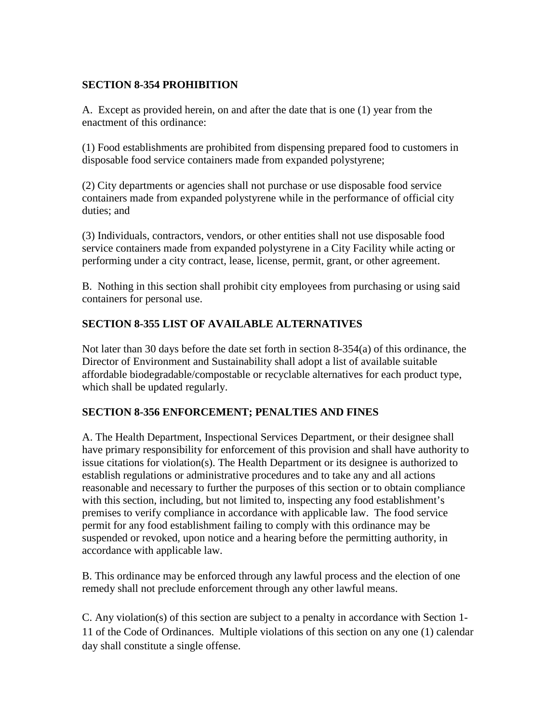# **SECTION 8-354 PROHIBITION**

A. Except as provided herein, on and after the date that is one (1) year from the enactment of this ordinance:

(1) Food establishments are prohibited from dispensing prepared food to customers in disposable food service containers made from expanded polystyrene;

(2) City departments or agencies shall not purchase or use disposable food service containers made from expanded polystyrene while in the performance of official city duties; and

(3) Individuals, contractors, vendors, or other entities shall not use disposable food service containers made from expanded polystyrene in a City Facility while acting or performing under a city contract, lease, license, permit, grant, or other agreement.

B. Nothing in this section shall prohibit city employees from purchasing or using said containers for personal use.

# **SECTION 8-355 LIST OF AVAILABLE ALTERNATIVES**

Not later than 30 days before the date set forth in section 8-354(a) of this ordinance, the Director of Environment and Sustainability shall adopt a list of available suitable affordable biodegradable/compostable or recyclable alternatives for each product type, which shall be updated regularly.

## **SECTION 8-356 ENFORCEMENT; PENALTIES AND FINES**

A. The Health Department, Inspectional Services Department, or their designee shall have primary responsibility for enforcement of this provision and shall have authority to issue citations for violation(s). The Health Department or its designee is authorized to establish regulations or administrative procedures and to take any and all actions reasonable and necessary to further the purposes of this section or to obtain compliance with this section, including, but not limited to, inspecting any food establishment's premises to verify compliance in accordance with applicable law. The food service permit for any food establishment failing to comply with this ordinance may be suspended or revoked, upon notice and a hearing before the permitting authority, in accordance with applicable law.

B. This ordinance may be enforced through any lawful process and the election of one remedy shall not preclude enforcement through any other lawful means.

C. Any violation(s) of this section are subject to a penalty in accordance with Section 1- 11 of the Code of Ordinances. Multiple violations of this section on any one (1) calendar day shall constitute a single offense.